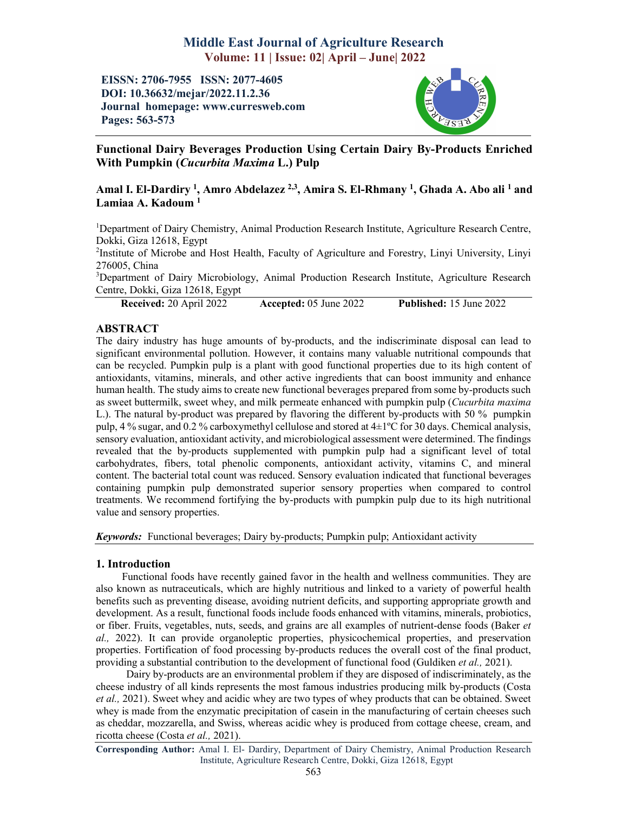# Middle East Journal of Agriculture Research Volume: 11 | Issue: 02| April – June| 2022

EISSN: 2706-7955 ISSN: 2077-4605 DOI: 10.36632/mejar/2022.11.2.36 Journal homepage: www.curresweb.com Pages: 563-573



Functional Dairy Beverages Production Using Certain Dairy By-Products Enriched With Pumpkin (*Cucurbita Maxima* L.) Pulp

## Amal I. El-Dardiry <sup>1</sup>, Amro Abdelazez <sup>2,3</sup>, Amira S. El-Rhmany <sup>1</sup>, Ghada A. Abo ali <sup>1</sup> and Lamiaa A. Kadoum<sup>1</sup>

<sup>1</sup>Department of Dairy Chemistry, Animal Production Research Institute, Agriculture Research Centre, Dokki, Giza 12618, Egypt

<sup>2</sup>Institute of Microbe and Host Health, Faculty of Agriculture and Forestry, Linyi University, Linyi 276005, China

<sup>3</sup>Department of Dairy Microbiology, Animal Production Research Institute, Agriculture Research Centre, Dokki, Giza 12618, Egypt

Received: 20 April 2022 Accepted: 05 June 2022 Published: 15 June 2022

### ABSTRACT

The dairy industry has huge amounts of by-products, and the indiscriminate disposal can lead to significant environmental pollution. However, it contains many valuable nutritional compounds that can be recycled. Pumpkin pulp is a plant with good functional properties due to its high content of antioxidants, vitamins, minerals, and other active ingredients that can boost immunity and enhance human health. The study aims to create new functional beverages prepared from some by-products such as sweet buttermilk, sweet whey, and milk permeate enhanced with pumpkin pulp (*Cucurbita maxima* L.). The natural by-product was prepared by flavoring the different by-products with 50 % pumpkin pulp, 4 % sugar, and 0.2 % carboxymethyl cellulose and stored at 4±1ºC for 30 days. Chemical analysis, sensory evaluation, antioxidant activity, and microbiological assessment were determined. The findings revealed that the by-products supplemented with pumpkin pulp had a significant level of total carbohydrates, fibers, total phenolic components, antioxidant activity, vitamins C, and mineral content. The bacterial total count was reduced. Sensory evaluation indicated that functional beverages containing pumpkin pulp demonstrated superior sensory properties when compared to control treatments. We recommend fortifying the by-products with pumpkin pulp due to its high nutritional value and sensory properties.

*Keywords:* Functional beverages; Dairy by-products; Pumpkin pulp; Antioxidant activity

### 1. Introduction

Functional foods have recently gained favor in the health and wellness communities. They are also known as nutraceuticals, which are highly nutritious and linked to a variety of powerful health benefits such as preventing disease, avoiding nutrient deficits, and supporting appropriate growth and development. As a result, functional foods include foods enhanced with vitamins, minerals, probiotics, or fiber. Fruits, vegetables, nuts, seeds, and grains are all examples of nutrient-dense foods (Baker *et al.,* 2022). It can provide organoleptic properties, physicochemical properties, and preservation properties. Fortification of food processing by-products reduces the overall cost of the final product, providing a substantial contribution to the development of functional food (Guldiken *et al.,* 2021).

Dairy by-products are an environmental problem if they are disposed of indiscriminately, as the cheese industry of all kinds represents the most famous industries producing milk by-products (Costa *et al.,* 2021). Sweet whey and acidic whey are two types of whey products that can be obtained. Sweet whey is made from the enzymatic precipitation of casein in the manufacturing of certain cheeses such as cheddar, mozzarella, and Swiss, whereas acidic whey is produced from cottage cheese, cream, and ricotta cheese (Costa *et al.,* 2021).

Corresponding Author: Amal I. El- Dardiry, Department of Dairy Chemistry, Animal Production Research Institute, Agriculture Research Centre, Dokki, Giza 12618, Egypt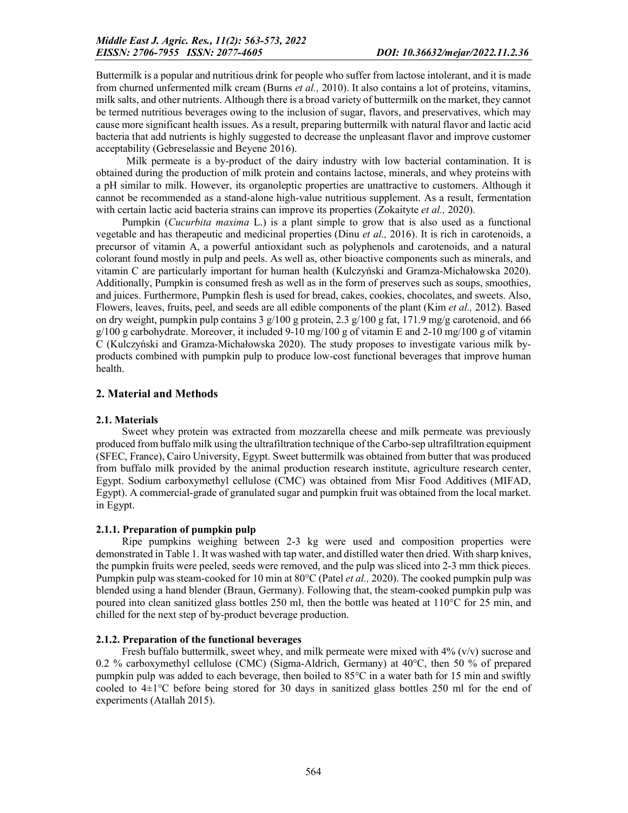Buttermilk is a popular and nutritious drink for people who suffer from lactose intolerant, and it is made from churned unfermented milk cream (Burns *et al.,* 2010). It also contains a lot of proteins, vitamins, milk salts, and other nutrients. Although there is a broad variety of buttermilk on the market, they cannot be termed nutritious beverages owing to the inclusion of sugar, flavors, and preservatives, which may cause more significant health issues. As a result, preparing buttermilk with natural flavor and lactic acid bacteria that add nutrients is highly suggested to decrease the unpleasant flavor and improve customer acceptability (Gebreselassie and Beyene 2016).

Milk permeate is a by-product of the dairy industry with low bacterial contamination. It is obtained during the production of milk protein and contains lactose, minerals, and whey proteins with a pH similar to milk. However, its organoleptic properties are unattractive to customers. Although it cannot be recommended as a stand-alone high-value nutritious supplement. As a result, fermentation with certain lactic acid bacteria strains can improve its properties (Zokaityte *et al.,* 2020).

Pumpkin (*Cucurbita maxima* L.) is a plant simple to grow that is also used as a functional vegetable and has therapeutic and medicinal properties (Dinu *et al.,* 2016). It is rich in carotenoids, a precursor of vitamin A, a powerful antioxidant such as polyphenols and carotenoids, and a natural colorant found mostly in pulp and peels. As well as, other bioactive components such as minerals, and vitamin C are particularly important for human health (Kulczyński and Gramza-Michałowska 2020). Additionally, Pumpkin is consumed fresh as well as in the form of preserves such as soups, smoothies, and juices. Furthermore, Pumpkin flesh is used for bread, cakes, cookies, chocolates, and sweets. Also, Flowers, leaves, fruits, peel, and seeds are all edible components of the plant (Kim *et al.,* 2012). Based on dry weight, pumpkin pulp contains 3  $g/100$  g protein, 2.3  $g/100$  g fat, 171.9 mg/g carotenoid, and 66  $g/100$  g carbohydrate. Moreover, it included 9-10 mg/100 g of vitamin E and 2-10 mg/100 g of vitamin C (Kulczyński and Gramza-Michałowska 2020). The study proposes to investigate various milk byproducts combined with pumpkin pulp to produce low-cost functional beverages that improve human health.

## 2. Material and Methods

## 2.1. Materials

Sweet whey protein was extracted from mozzarella cheese and milk permeate was previously produced from buffalo milk using the ultrafiltration technique of the Carbo-sep ultrafiltration equipment (SFEC, France), Cairo University, Egypt. Sweet buttermilk was obtained from butter that was produced from buffalo milk provided by the animal production research institute, agriculture research center, Egypt. Sodium carboxymethyl cellulose (CMC) was obtained from Misr Food Additives (MIFAD, Egypt). A commercial-grade of granulated sugar and pumpkin fruit was obtained from the local market. in Egypt.

### 2.1.1. Preparation of pumpkin pulp

Ripe pumpkins weighing between 2-3 kg were used and composition properties were demonstrated in Table 1. It was washed with tap water, and distilled water then dried. With sharp knives, the pumpkin fruits were peeled, seeds were removed, and the pulp was sliced into 2-3 mm thick pieces. Pumpkin pulp was steam-cooked for 10 min at 80°C (Patel *et al.,* 2020). The cooked pumpkin pulp was blended using a hand blender (Braun, Germany). Following that, the steam-cooked pumpkin pulp was poured into clean sanitized glass bottles 250 ml, then the bottle was heated at 110°C for 25 min, and chilled for the next step of by-product beverage production.

## 2.1.2. Preparation of the functional beverages

Fresh buffalo buttermilk, sweet whey, and milk permeate were mixed with  $4\%$  (v/v) sucrose and 0.2 % carboxymethyl cellulose (CMC) (Sigma-Aldrich, Germany) at 40°C, then 50 % of prepared pumpkin pulp was added to each beverage, then boiled to 85°C in a water bath for 15 min and swiftly cooled to  $4\pm1$ °C before being stored for 30 days in sanitized glass bottles 250 ml for the end of experiments (Atallah 2015).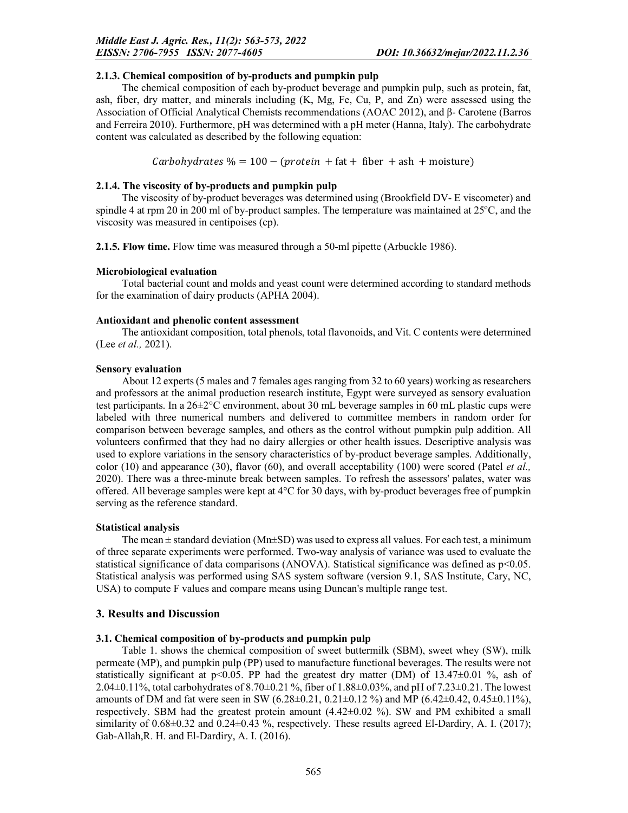#### 2.1.3. Chemical composition of by-products and pumpkin pulp

The chemical composition of each by-product beverage and pumpkin pulp, such as protein, fat, ash, fiber, dry matter, and minerals including (K, Mg, Fe, Cu, P, and Zn) were assessed using the Association of Official Analytical Chemists recommendations (AOAC 2012), and β- Carotene (Barros and Ferreira 2010). Furthermore, pH was determined with a pH meter (Hanna, Italy). The carbohydrate content was calculated as described by the following equation:

 $Carbohydrates % = 100 - (protein + fat + fiber + ash + moisture)$ 

### 2.1.4. The viscosity of by-products and pumpkin pulp

The viscosity of by-product beverages was determined using (Brookfield DV- E viscometer) and spindle 4 at rpm 20 in 200 ml of by-product samples. The temperature was maintained at 25°C, and the viscosity was measured in centipoises (cp).

2.1.5. Flow time. Flow time was measured through a 50-ml pipette (Arbuckle 1986).

### Microbiological evaluation

Total bacterial count and molds and yeast count were determined according to standard methods for the examination of dairy products (APHA 2004).

### Antioxidant and phenolic content assessment

The antioxidant composition, total phenols, total flavonoids, and Vit. C contents were determined (Lee *et al.,* 2021).

### Sensory evaluation

About 12 experts (5 males and 7 females ages ranging from 32 to 60 years) working as researchers and professors at the animal production research institute, Egypt were surveyed as sensory evaluation test participants. In a 26±2°C environment, about 30 mL beverage samples in 60 mL plastic cups were labeled with three numerical numbers and delivered to committee members in random order for comparison between beverage samples, and others as the control without pumpkin pulp addition. All volunteers confirmed that they had no dairy allergies or other health issues. Descriptive analysis was used to explore variations in the sensory characteristics of by-product beverage samples. Additionally, color (10) and appearance (30), flavor (60), and overall acceptability (100) were scored (Patel *et al.,*  2020). There was a three-minute break between samples. To refresh the assessors' palates, water was offered. All beverage samples were kept at 4°C for 30 days, with by-product beverages free of pumpkin serving as the reference standard.

### Statistical analysis

The mean  $\pm$  standard deviation (Mn $\pm$ SD) was used to express all values. For each test, a minimum of three separate experiments were performed. Two-way analysis of variance was used to evaluate the statistical significance of data comparisons (ANOVA). Statistical significance was defined as  $p<0.05$ . Statistical analysis was performed using SAS system software (version 9.1, SAS Institute, Cary, NC, USA) to compute F values and compare means using Duncan's multiple range test.

## 3. Results and Discussion

## 3.1. Chemical composition of by-products and pumpkin pulp

Table 1. shows the chemical composition of sweet buttermilk (SBM), sweet whey (SW), milk permeate (MP), and pumpkin pulp (PP) used to manufacture functional beverages. The results were not statistically significant at  $p<0.05$ . PP had the greatest dry matter (DM) of 13.47 $\pm$ 0.01 %, ash of 2.04±0.11%, total carbohydrates of 8.70±0.21 %, fiber of 1.88±0.03%, and pH of 7.23±0.21. The lowest amounts of DM and fat were seen in SW (6.28 $\pm$ 0.21, 0.21 $\pm$ 0.12%) and MP (6.42 $\pm$ 0.42, 0.45 $\pm$ 0.11%), respectively. SBM had the greatest protein amount (4.42±0.02 %). SW and PM exhibited a small similarity of  $0.68\pm0.32$  and  $0.24\pm0.43$  %, respectively. These results agreed El-Dardiry, A. I. (2017); Gab-Allah,R. H. and El-Dardiry, A. I. (2016).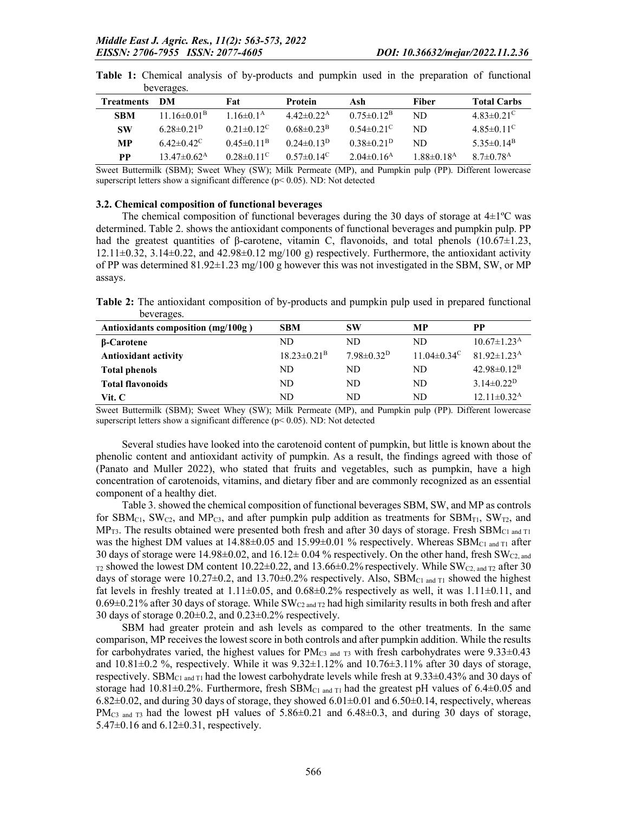| <b>Treatments</b> | - DM                     | Fat                          | <b>Protein</b>               | Ash                          | Fiber                        | <b>Total Carbs</b>           |
|-------------------|--------------------------|------------------------------|------------------------------|------------------------------|------------------------------|------------------------------|
| <b>SBM</b>        | $11.16\pm0.01B$          | $1.16 \pm 0.1^{\rm A}$       | $4.42 \pm 0.22^{\rm A}$      | $0.75 \pm 0.12^{\rm B}$      | ND                           | $4.83 \pm 0.21$ <sup>C</sup> |
| <b>SW</b>         | $6.28\pm0.21^{D}$        | $0.21 \pm 0.12$ <sup>C</sup> | $0.68 \pm 0.23$ <sup>B</sup> | $0.54 \pm 0.21$ <sup>C</sup> | ND                           | $4.85 \pm 0.11$ <sup>C</sup> |
| <b>MP</b>         | $6.42 \pm 0.42^{\circ}$  | $0.45 \pm 0.11^{\rm B}$      | $0.24 \pm 0.13^{\rm D}$      | $0.38\pm0.21^{D}$            | ND                           | $5.35\pm0.14^{\rm B}$        |
| <b>PP</b>         | $13.47 \pm 0.62^{\rm A}$ | $0.28 \pm 0.11$ <sup>C</sup> | $0.57 \pm 0.14$ <sup>C</sup> | $2.04\pm0.16^{\rm A}$        | $1.88 \pm 0.18$ <sup>A</sup> | $8.7 \pm 0.78$ <sup>A</sup>  |

Table 1: Chemical analysis of by-products and pumpkin used in the preparation of functional beverages.

Sweet Buttermilk (SBM); Sweet Whey (SW); Milk Permeate (MP), and Pumpkin pulp (PP). Different lowercase superscript letters show a significant difference (p< 0.05). ND: Not detected

#### 3.2. Chemical composition of functional beverages

The chemical composition of functional beverages during the 30 days of storage at  $4\pm1$ °C was determined. Table 2. shows the antioxidant components of functional beverages and pumpkin pulp. PP had the greatest quantities of β-carotene, vitamin C, flavonoids, and total phenols  $(10.67\pm1.23,$  $12.11\pm0.32$ ,  $3.14\pm0.22$ , and  $42.98\pm0.12$  mg/100 g) respectively. Furthermore, the antioxidant activity of PP was determined 81.92±1.23 mg/100 g however this was not investigated in the SBM, SW, or MP assays.

Table 2: The antioxidant composition of by-products and pumpkin pulp used in prepared functional beverages.

| Antioxidants composition $(mg/100g)$ | <b>SBM</b>               | <b>SW</b>               | MР                       | PP                            |
|--------------------------------------|--------------------------|-------------------------|--------------------------|-------------------------------|
| β-Carotene                           | ND                       | ND.                     | ND                       | $10.67 \pm 1.23^{\rm A}$      |
| <b>Antioxidant activity</b>          | $18.23 \pm 0.21^{\rm B}$ | $7.98 \pm 0.32^{\rm D}$ | $11.04 \pm 0.34^{\circ}$ | $81.92 \pm 1.23$ <sup>A</sup> |
| <b>Total phenols</b>                 | ND                       | ND.                     | ND                       | $42.98 \pm 0.12^B$            |
| <b>Total flavonoids</b>              | ND.                      | ND.                     | ND                       | $3.14 \pm 0.22^D$             |
| Vit. C                               | ND                       | ND.                     | ND                       | $12.11 \pm 0.32$ <sup>A</sup> |

Sweet Buttermilk (SBM); Sweet Whey (SW); Milk Permeate (MP), and Pumpkin pulp (PP). Different lowercase superscript letters show a significant difference ( $p$  < 0.05). ND: Not detected

Several studies have looked into the carotenoid content of pumpkin, but little is known about the phenolic content and antioxidant activity of pumpkin. As a result, the findings agreed with those of (Panato and Muller 2022), who stated that fruits and vegetables, such as pumpkin, have a high concentration of carotenoids, vitamins, and dietary fiber and are commonly recognized as an essential component of a healthy diet.

Table 3. showed the chemical composition of functional beverages SBM, SW, and MP as controls for SBM<sub>C1</sub>, SW<sub>C2</sub>, and MP<sub>C3</sub>, and after pumpkin pulp addition as treatments for SBM<sub>T1</sub>, SW<sub>T2</sub>, and MP<sub>T3</sub>. The results obtained were presented both fresh and after 30 days of storage. Fresh SBM<sub>C1 and T1</sub> was the highest DM values at  $14.88\pm0.05$  and  $15.99\pm0.01$  % respectively. Whereas SBM<sub>C1 and T1</sub> after 30 days of storage were 14.98 $\pm$ 0.02, and 16.12 $\pm$  0.04 % respectively. On the other hand, fresh SW<sub>C2, and</sub>  $_{T2}$  showed the lowest DM content 10.22 $\pm$ 0.22, and 13.66 $\pm$ 0.2% respectively. While SW<sub>C2, and T2</sub> after 30 days of storage were 10.27 $\pm$ 0.2, and 13.70 $\pm$ 0.2% respectively. Also, SBM<sub>C1 and T1</sub> showed the highest fat levels in freshly treated at  $1.11\pm0.05$ , and  $0.68\pm0.2\%$  respectively as well, it was  $1.11\pm0.11$ , and  $0.69\pm0.21\%$  after 30 days of storage. While SW<sub>C2 and T2</sub> had high similarity results in both fresh and after 30 days of storage 0.20±0.2, and 0.23±0.2% respectively.

SBM had greater protein and ash levels as compared to the other treatments. In the same comparison, MP receives the lowest score in both controls and after pumpkin addition. While the results for carbohydrates varied, the highest values for  $PM_{C3}$  and  $_{T3}$  with fresh carbohydrates were 9.33 $\pm$ 0.43 and  $10.81\pm0.2$  %, respectively. While it was  $9.32\pm1.12$ % and  $10.76\pm3.11$ % after 30 days of storage, respectively. SBM<sub>C1</sub> and T<sub>1</sub> had the lowest carbohydrate levels while fresh at  $9.33\pm0.43\%$  and 30 days of storage had  $10.81\pm0.2\%$ . Furthermore, fresh SBM<sub>C1 and T1</sub> had the greatest pH values of 6.4 $\pm0.05$  and  $6.82\pm0.02$ , and during 30 days of storage, they showed  $6.01\pm0.01$  and  $6.50\pm0.14$ , respectively, whereas PM<sub>C3</sub> and  $T_3$  had the lowest pH values of 5.86 $\pm$ 0.21 and 6.48 $\pm$ 0.3, and during 30 days of storage, 5.47 $\pm$ 0.16 and 6.12 $\pm$ 0.31, respectively.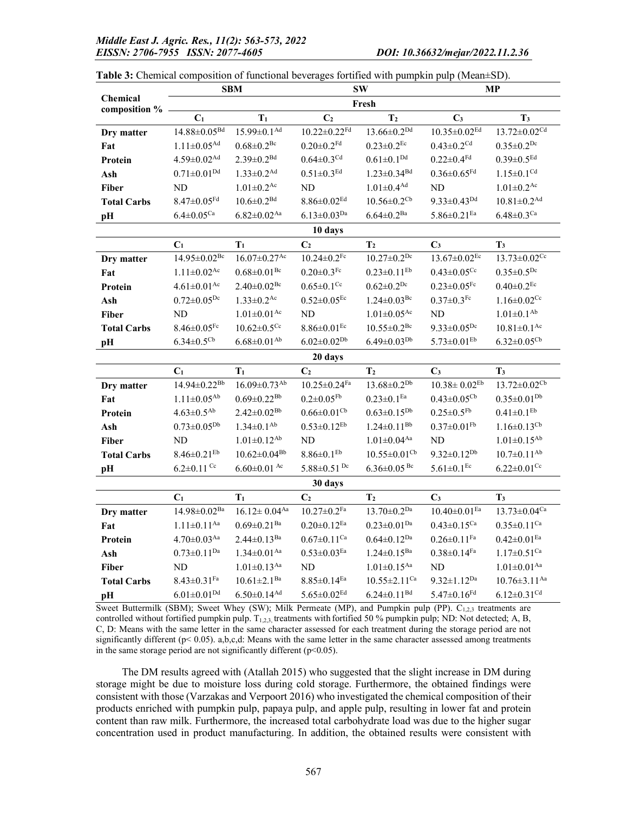|                                  | <b>SBM</b>                     |                                | $\textbf{SW}$                  |                                | <b>MP</b>                      |                                |
|----------------------------------|--------------------------------|--------------------------------|--------------------------------|--------------------------------|--------------------------------|--------------------------------|
| <b>Chemical</b><br>composition % |                                |                                |                                | Fresh                          |                                |                                |
|                                  | $\mathbf{C}_1$                 | $T_1$                          | C <sub>2</sub>                 | T <sub>2</sub>                 | C <sub>3</sub>                 | $\mathbf{T}_3$                 |
| Dry matter                       | $14.88{\pm}0.05^{\text{Bd}}$   | $15.99 \pm 0.1$ <sup>Ad</sup>  | $10.22 \pm 0.22$ Fd            | $13.66 \pm 0.2^{Dd}$           | $10.35 \pm 0.02$ <sup>Ed</sup> | $13.72 \pm 0.02^{cd}$          |
| Fat                              | $1.11{\pm}0.05^{\text{Ad}}$    | $0.68 \pm 0.2$ <sup>Bc</sup>   | $0.20 \pm 0.2$ <sup>Fd</sup>   | $0.23 \pm 0.2$ <sup>Ec</sup>   | $0.43 \pm 0.2$ <sup>Cd</sup>   | $0.35 \pm 0.2^{Dc}$            |
| Protein                          | $4.59 \pm 0.02$ <sup>Ad</sup>  | $2.39 \pm 0.2^{Bd}$            | $0.64 \pm 0.3^{\text{Cd}}$     | $0.61 \pm 0.1^{Dd}$            | $0.22 \pm 0.4$ <sup>Fd</sup>   | $0.39 \pm 0.5$ <sup>Ed</sup>   |
| Ash                              | $0.71 \pm 0.01^{Dd}$           | $1.33 \pm 0.2$ <sup>Ad</sup>   | $0.51 \pm 0.3$ <sup>Ed</sup>   | $1.23 \pm 0.34$ <sup>Bd</sup>  | $0.36 \pm 0.65$ <sup>Fd</sup>  | $1.15 \pm 0.1^{Cd}$            |
| <b>Fiber</b>                     | ND                             | $1.01 \pm 0.2^{\rm Ac}$        | ND                             | $1.01{\pm}0.4^{\text{Ad}}$     | ND                             | $1.01{\pm}0.2^{\rm Ac}$        |
| <b>Total Carbs</b>               | $8.47 \pm 0.05$ <sup>Fd</sup>  | $10.6 \pm 0.2^{Bd}$            | $8.86 \pm 0.02$ <sup>Ed</sup>  | $10.56 \pm 0.2$ <sup>Cb</sup>  | $9.33 \pm 0.43^{Dd}$           | $10.81 \pm 0.2$ <sup>Ad</sup>  |
| pH                               | $6.4 \pm 0.05^{\text{Ca}}$     | $6.82 \pm 0.02$ <sup>Aa</sup>  | $6.13 \pm 0.03^{Da}$           | $6.64 \pm 0.2^{Ba}$            | $5.86 \pm 0.21$ <sup>Ea</sup>  | $6.48 \pm 0.3$ <sup>Ca</sup>   |
|                                  |                                |                                | 10 days                        |                                |                                |                                |
|                                  | C <sub>1</sub>                 | $\mathbf{T}_1$                 | C <sub>2</sub>                 | T <sub>2</sub>                 | $\mathbf{C}_3$                 | $\mathbf{T}_3$                 |
| Dry matter                       | $14.95\pm0.02^{\mathrm{Be}}$   | $16.07 \pm 0.27$ <sup>Ac</sup> | $10.24 \pm 0.2$ <sup>Fc</sup>  | $10.27 \pm 0.2^{Dc}$           | $13.67 \pm 0.02$ <sup>Ec</sup> | $13.73 \pm 0.02$ <sup>Cc</sup> |
| Fat                              | $1.11 \pm 0.02$ <sup>Ac</sup>  | $0.68 \pm 0.01$ <sup>Bc</sup>  | $0.20 \pm 0.3$ <sup>Fc</sup>   | $0.23 \pm 0.11$ <sup>Eb</sup>  | $0.43 \pm 0.05$ <sup>Cc</sup>  | $0.35 \pm 0.5^{Dc}$            |
| Protein                          | $4.61 \pm 0.01$ <sup>Ac</sup>  | $2.40 \pm 0.02$ <sup>Bc</sup>  | $0.65 \pm 0.1$ <sup>Cc</sup>   | $0.62 \pm 0.2^{Dc}$            | $0.23 \pm 0.05$ Fc             | $0.40{\pm}0.2^{\rm Ec}$        |
| Ash                              | $0.72 \pm 0.05^{Dc}$           | $1.33 \pm 0.2$ <sup>Ac</sup>   | $0.52 \pm 0.05^{\text{Ec}}$    | $1.24 \pm 0.03$ <sup>Bc</sup>  | $0.37 \pm 0.3$ <sup>Fc</sup>   | $1.16 \pm 0.02$ <sup>Cc</sup>  |
| <b>Fiber</b>                     | ND                             | $1.01 \pm 0.01$ <sup>Ac</sup>  | ND                             | $1.01 \pm 0.05$ <sup>Ac</sup>  | ND                             | $1.01 \pm 0.1^{Ab}$            |
| <b>Total Carbs</b>               | $8.46 \pm 0.05$ <sup>Fc</sup>  | $10.62 \pm 0.5$ <sup>Cc</sup>  | $8.86\pm0.01$ <sup>Ec</sup>    | $10.55 \pm 0.2^{\rm Bc}$       | $9.33 \pm 0.05^{Dc}$           | $10.81 \pm 0.1$ <sup>Ac</sup>  |
| pH                               | $6.34 \pm 0.5^{\rm cb}$        | $6.68 \pm 0.01^{Ab}$           | $6.02 \pm 0.02^{Db}$           | $6.49 \pm 0.03^{Db}$           | $5.73{\pm}0.01^{\mathrm{Eb}}$  | $6.32 \pm 0.05^{\rm{Cb}}$      |
|                                  |                                |                                | 20 days                        |                                |                                |                                |
|                                  | $C_1$                          | $T_1$                          | C <sub>2</sub>                 | T <sub>2</sub>                 | $C_3$                          | $\mathbf{T}_3$                 |
| Dry matter                       | $14.94 \pm 0.22^{Bb}$          | $16.09 \pm 0.73$ <sup>Ab</sup> | $10.25 \pm 0.24$ <sup>Fa</sup> | $13.68 \pm 0.2^{Db}$           | $10.38 \pm 0.02$ <sup>Eb</sup> | $13.72 \pm 0.02$ <sup>Cb</sup> |
| Fat                              | $1.11 \pm 0.05^{Ab}$           | $0.69 \pm 0.22^\text{Bb}$      | $0.2 \pm 0.05$ <sup>Fb</sup>   | $0.23 \pm 0.1$ <sup>Ea</sup>   | $0.43 \pm 0.05^{\rm{Cb}}$      | $0.35 \pm 0.01^{Db}$           |
| Protein                          | $4.63 \pm 0.5^{Ab}$            | $2.42 \pm 0.02^{Bb}$           | $0.66 \pm 0.01$ <sup>Cb</sup>  | $0.63 \pm 0.15^{Db}$           | $0.25 \pm 0.5$ <sup>Fb</sup>   | $0.41 \pm 0.1$ <sup>Eb</sup>   |
| Ash                              | $0.73 \pm 0.05^{Db}$           | $1.34 \pm 0.1^{Ab}$            | $0.53 \pm 0.12$ <sup>Eb</sup>  | $1.24 \pm 0.11^{Bb}$           | $0.37\pm0.01^{\mathrm{Fb}}$    | $1.16 \pm 0.13$ <sup>Cb</sup>  |
| <b>Fiber</b>                     | N <sub>D</sub>                 | $1.01 \pm 0.12^{Ab}$           | N <sub>D</sub>                 | $1.01{\pm}0.04^{\mathrm{Aa}}$  | ND                             | $1.01 \pm 0.15^{Ab}$           |
| <b>Total Carbs</b>               | $8.46 \pm 0.21$ <sup>Eb</sup>  | $10.62 \pm 0.04$ <sup>Bb</sup> | $8.86 \pm 0.1$ <sup>Eb</sup>   | $10.55 \pm 0.01$ <sup>Cb</sup> | $9.32 \pm 0.12^{Db}$           | $10.7 \pm 0.11^{Ab}$           |
| pH                               | $6.2 \pm 0.11$ Cc              | $6.60 \pm 0.01$ Ac             | $5.88 \pm 0.51$ <sup>Dc</sup>  | $6.36 \pm 0.05$ <sup>Bc</sup>  | $5.61 \pm 0.1$ <sup>Ec</sup>   | $6.22 \pm 0.01$ <sup>Cc</sup>  |
|                                  |                                |                                | 30 days                        |                                |                                |                                |
|                                  | $C_1$                          | $T_1$                          | C <sub>2</sub>                 | T <sub>2</sub>                 | C <sub>3</sub>                 | T <sub>3</sub>                 |
| Dry matter                       | $14.98 \pm 0.02$ <sup>Ba</sup> | $16.12 \pm 0.04$ <sup>Aa</sup> | $10.27 \pm 0.2$ Fa             | $13.70 \pm 0.2^{Da}$           | $10.40 \pm 0.01$ <sup>Ea</sup> | $13.73 \pm 0.04$ <sup>Ca</sup> |
| Fat                              | $1.11{\pm}0.11^{\mathrm{Aa}}$  | $0.69 \pm 0.21$ <sup>Ba</sup>  | $0.20 \pm 0.12$ <sup>Ea</sup>  | $0.23 \pm 0.01^{Da}$           | $0.43 \pm 0.15$ <sup>Ca</sup>  | $0.35 \pm 0.11$ <sup>Ca</sup>  |
| Protein                          | $4.70 \pm 0.03$ <sup>Aa</sup>  | $2.44 \pm 0.13^{Ba}$           | $0.67 \pm 0.11$ <sup>Ca</sup>  | $0.64 \pm 0.12^{Da}$           | $0.26 \pm 0.11^{Fa}$           | $0.42 \pm 0.01$ <sup>Ea</sup>  |
| Ash                              | $0.73 \pm 0.11^{Da}$           | $1.34 \pm 0.01$ <sup>Aa</sup>  | $0.53 \pm 0.03$ <sup>Ea</sup>  | $1.24 \pm 0.15^{Ba}$           | $0.38 \pm 0.14$ <sup>Fa</sup>  | $1.17 \pm 0.51$ <sup>Ca</sup>  |
| <b>Fiber</b>                     | ND                             | $1.01 \pm 0.13$ <sup>Aa</sup>  | ND                             | $1.01 \pm 0.15^{Aa}$           | ND                             | $1.01{\pm}0.01^{\mathrm{Aa}}$  |
| <b>Total Carbs</b>               | $8.43 \pm 0.31$ <sup>Fa</sup>  | $10.61 \pm 2.1$ <sup>Ba</sup>  | $8.85 \pm 0.14$ <sup>Ea</sup>  | $10.55 \pm 2.11$ <sup>Ca</sup> | $9.32 \pm 1.12^{Da}$           | $10.76 \pm 3.11$ <sup>Aa</sup> |
| pH                               | $6.01 \pm 0.01^{\mathrm{Dd}}$  | $6.50 \pm 0.14^{Ad}$           | $5.65 \pm 0.02$ <sup>Ed</sup>  | $6.24 \pm 0.11^{Bd}$           | $5.47 \pm 0.16$ <sup>Fd</sup>  | $6.12 \pm 0.31$ <sup>Cd</sup>  |

|  | <b>Table 3:</b> Chemical composition of functional beverages fortified with pumpkin pulp (Mean $\pm$ SD). |  |  |
|--|-----------------------------------------------------------------------------------------------------------|--|--|
|  |                                                                                                           |  |  |

Sweet Buttermilk (SBM); Sweet Whey (SW); Milk Permeate (MP), and Pumpkin pulp (PP). C<sub>1,2,3</sub> treatments are controlled without fortified pumpkin pulp.  $T_{1,2,3}$ , treatments with fortified 50 % pumpkin pulp; ND: Not detected; A, B, C, D: Means with the same letter in the same character assessed for each treatment during the storage period are not significantly different ( $p< 0.05$ ). a,b,c,d: Means with the same letter in the same character assessed among treatments in the same storage period are not significantly different ( $p<0.05$ ).

The DM results agreed with (Atallah 2015) who suggested that the slight increase in DM during storage might be due to moisture loss during cold storage. Furthermore, the obtained findings were consistent with those (Varzakas and Verpoort 2016) who investigated the chemical composition of their products enriched with pumpkin pulp, papaya pulp, and apple pulp, resulting in lower fat and protein content than raw milk. Furthermore, the increased total carbohydrate load was due to the higher sugar concentration used in product manufacturing. In addition, the obtained results were consistent with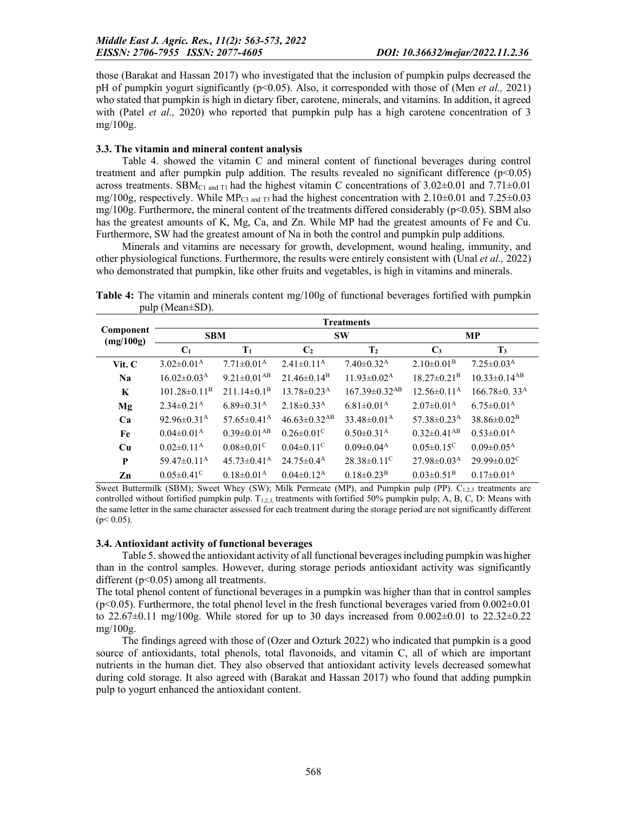those (Barakat and Hassan 2017) who investigated that the inclusion of pumpkin pulps decreased the pH of pumpkin yogurt significantly (p<0.05). Also, it corresponded with those of (Men *et al.,* 2021) who stated that pumpkin is high in dietary fiber, carotene, minerals, and vitamins. In addition, it agreed with (Patel *et al.,* 2020) who reported that pumpkin pulp has a high carotene concentration of 3 mg/100g.

#### 3.3. The vitamin and mineral content analysis

Table 4. showed the vitamin C and mineral content of functional beverages during control treatment and after pumpkin pulp addition. The results revealed no significant difference  $(p<0.05)$ across treatments. SBM<sub>C1 and T1</sub> had the highest vitamin C concentrations of  $3.02\pm0.01$  and  $7.71\pm0.01$ mg/100g, respectively. While MP<sub>C3</sub> and  $T_3$  had the highest concentration with 2.10 $\pm$ 0.01 and 7.25 $\pm$ 0.03 mg/100g. Furthermore, the mineral content of the treatments differed considerably ( $p<0.05$ ). SBM also has the greatest amounts of K, Mg, Ca, and Zn. While MP had the greatest amounts of Fe and Cu. Furthermore, SW had the greatest amount of Na in both the control and pumpkin pulp additions.

Minerals and vitamins are necessary for growth, development, wound healing, immunity, and other physiological functions. Furthermore, the results were entirely consistent with (Unal *et al.,* 2022) who demonstrated that pumpkin, like other fruits and vegetables, is high in vitamins and minerals.

Component (mg/100g) **Treatments** SBM SW MP  $C_1$   $T_1$   $C_2$   $T_2$   $C_3$   $T_3$ Vit. C  $3.02 \pm 0.01$ <sup>A</sup>  $7.71 \pm 0.01$ <sup>A</sup>  $2.41 \pm 0.11$ <sup>A</sup>  $7.40 \pm 0.32$ <sup>A</sup>  $2.10 \pm 0.01$ <sup>B</sup>  $7.25 \pm 0.03$ <sup>A</sup> Na  $16.02 \pm 0.03^{\text{A}}$   $9.21 \pm 0.01^{\text{AB}}$   $21.46 \pm 0.14^{\text{B}}$   $11.93 \pm 0.02^{\text{A}}$   $18.27 \pm 0.21^{\text{B}}$   $10.33 \pm 0.14^{\text{AB}}$ **K**  $101.28 \pm 0.11^B$   $211.14 \pm 0.1^B$   $13.78 \pm 0.23^A$   $167.39 \pm 0.32^{AB}$   $12.56 \pm 0.11^A$   $166.78 \pm 0.33^A$  $Mg$  2.34±0.21<sup>A</sup> 6.89±0.31<sup>A</sup> 2.18±0.33<sup>A</sup> 6.81±0.01<sup>A</sup> 2.07±0.01<sup>A</sup> 6.75±0.01<sup>A</sup> Ca  $92.96 \pm 0.31$ <sup>A</sup>  $57.65 \pm 0.41$ <sup>A</sup>  $46.63 \pm 0.32$ <sup>AB</sup>  $33.48 \pm 0.01$ <sup>A</sup>  $57.38 \pm 0.23$ <sup>A</sup>  $38.86 \pm 0.02$ <sup>B</sup> Fe  $0.04\pm0.01^{\text{A}}$   $0.39\pm0.01^{\text{A}}$   $0.26\pm0.01^{\text{C}}$   $0.50\pm0.31^{\text{A}}$   $0.32\pm0.41^{\text{A}}$   $0.53\pm0.01^{\text{A}}$ **Cu**  $0.02\pm0.11^{\text{A}}$   $0.08\pm0.01^{\text{C}}$   $0.04\pm0.11^{\text{C}}$   $0.09\pm0.04^{\text{A}}$   $0.05\pm0.15^{\text{C}}$   $0.09\pm0.05^{\text{A}}$ **P**  $59.47\pm0.11^{\text{A}}$   $45.73\pm0.41^{\text{A}}$   $24.75\pm0.4^{\text{A}}$   $28.38\pm0.11^{\text{C}}$   $27.98\pm0.03^{\text{A}}$   $29.99\pm0.02^{\text{C}}$ **Zn**  $0.05\pm0.41^{\circ}$   $0.18\pm0.01^{\circ}$   $0.04\pm0.12^{\circ}$   $0.18\pm0.23^{\circ}$   $0.03\pm0.51^{\circ}$   $0.17\pm0.01^{\circ}$ 

Table 4: The vitamin and minerals content mg/100g of functional beverages fortified with pumpkin pulp (Mean±SD).

Sweet Buttermilk (SBM); Sweet Whey (SW); Milk Permeate (MP), and Pumpkin pulp (PP).  $C_{1,2,3}$  treatments are controlled without fortified pumpkin pulp.  $T_{1,2,3}$  treatments with fortified 50% pumpkin pulp; A, B, C, D: Means with the same letter in the same character assessed for each treatment during the storage period are not significantly different  $(p< 0.05)$ .

#### 3.4. Antioxidant activity of functional beverages

Table 5. showed the antioxidant activity of all functional beverages including pumpkin was higher than in the control samples. However, during storage periods antioxidant activity was significantly different (p<0.05) among all treatments.

The total phenol content of functional beverages in a pumpkin was higher than that in control samples  $(p<0.05)$ . Furthermore, the total phenol level in the fresh functional beverages varied from  $0.002\pm0.01$ to 22.67 $\pm$ 0.11 mg/100g. While stored for up to 30 days increased from 0.002 $\pm$ 0.01 to 22.32 $\pm$ 0.22 mg/100g.

The findings agreed with those of (Ozer and Ozturk 2022) who indicated that pumpkin is a good source of antioxidants, total phenols, total flavonoids, and vitamin C, all of which are important nutrients in the human diet. They also observed that antioxidant activity levels decreased somewhat during cold storage. It also agreed with (Barakat and Hassan 2017) who found that adding pumpkin pulp to yogurt enhanced the antioxidant content.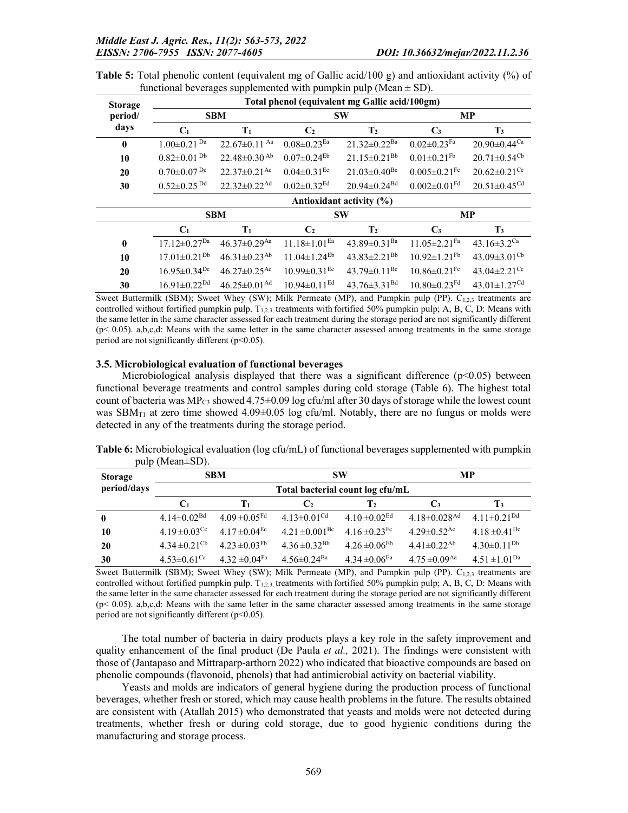| <b>Storage</b> | Total phenol (equivalent mg Gallic acid/100gm) |                                |                                |                                |                                |                                |  |
|----------------|------------------------------------------------|--------------------------------|--------------------------------|--------------------------------|--------------------------------|--------------------------------|--|
| period/        |                                                | <b>SBM</b>                     |                                | <b>SW</b>                      |                                | MP                             |  |
| days           | C <sub>1</sub>                                 | $T_1$                          | C <sub>2</sub>                 | T <sub>2</sub>                 | $\mathbf{C}_3$                 | $\mathbf{T}_3$                 |  |
| $\mathbf{0}$   | $1.00 \pm 0.21$ <sup>Da</sup>                  | $22.67 \pm 0.11$ Aa            | $0.08 \pm 0.23$ <sup>Ea</sup>  | $21.32 \pm 0.22$ <sup>Ba</sup> | $0.02 \pm 0.23$ Fa             | $20.90 \pm 0.44$ <sup>Ca</sup> |  |
| 10             | $0.82 \pm 0.01$ <sup>Db</sup>                  | $22.48 \pm 0.30$ Ab            | $0.07 \pm 0.24$ <sup>Eb</sup>  | $21.15 \pm 0.21^{Bb}$          | $0.01 \pm 0.21$ <sup>Fb</sup>  | $20.71 \pm 0.54$ <sup>Cb</sup> |  |
| 20             | $0.70 \pm 0.07$ Dc                             | $22.37 \pm 0.21$ <sup>Ac</sup> | $0.04 \pm 0.31$ <sup>Ec</sup>  | $21.03 \pm 0.40$ <sup>Bc</sup> | $0.005 \pm 0.21$ <sup>Fc</sup> | $20.62 \pm 0.21$ <sup>Cc</sup> |  |
| 30             | $0.52 \pm 0.25$ <sup>Dd</sup>                  | $22.32 \pm 0.22$ <sup>Ad</sup> | $0.02 \pm 0.32$ <sup>Ed</sup>  | $20.94 \pm 0.24$ <sup>Bd</sup> | $0.002 \pm 0.01$ <sup>Fd</sup> | $20.51 \pm 0.45$ <sup>Cd</sup> |  |
|                | Antioxidant activity (%)                       |                                |                                |                                |                                |                                |  |
|                |                                                |                                |                                |                                |                                |                                |  |
|                |                                                | <b>SBM</b>                     |                                | <b>SW</b>                      |                                | MP                             |  |
|                | $C_1$                                          | $T_1$                          | C <sub>2</sub>                 | T <sub>2</sub>                 | $\mathbf{C}_3$                 | $\mathbf{T}_3$                 |  |
| $\bf{0}$       | $17.12 \pm 0.27^{Da}$                          | $46.37 \pm 0.29$ <sup>Aa</sup> | $11.18 \pm 1.01$ <sup>Ea</sup> | 43.89 $\pm$ 0.31 <sup>Ba</sup> | $11.05 \pm 2.21$ <sup>Fa</sup> | 43.16 $\pm$ 3.2 <sup>Ca</sup>  |  |
| 10             | $17.01 \pm 0.21^{Db}$                          | $46.31 \pm 0.23$ <sup>Ab</sup> | $11.04 \pm 1.24$ <sup>Eb</sup> | $43.83 \pm 2.21^{Bb}$          | $10.92 \pm 1.21$ <sup>Fb</sup> | 43.09 $\pm$ 3.01 <sup>Cb</sup> |  |
| 20             | $16.95 \pm 0.34$ <sup>Dc</sup>                 | $46.27 \pm 0.25$ <sup>Ac</sup> | $10.99 \pm 0.31$ <sup>Ec</sup> | 43.79 $\pm$ 0.11 <sup>Bc</sup> | $10.86 \pm 0.21$ <sup>Fc</sup> | 43.04 $\pm$ 2.21 <sup>Cc</sup> |  |

**Table 5:** Total phenolic content (equivalent mg of Gallic acid/100 g) and antioxidant activity  $\binom{9}{0}$  of functional beverages supplemented with pumpkin pulp (Mean  $\pm$  SD).

Sweet Buttermilk (SBM); Sweet Whey (SW); Milk Permeate (MP), and Pumpkin pulp (PP).  $C_{1,2,3}$  treatments are controlled without fortified pumpkin pulp.  $T_{1,2,3}$ , treatments with fortified 50% pumpkin pulp; A, B, C, D: Means with the same letter in the same character assessed for each treatment during the storage period are not significantly different  $(p< 0.05)$ . a,b,c,d: Means with the same letter in the same character assessed among treatments in the same storage period are not significantly different  $(p<0.05)$ .

#### 3.5. Microbiological evaluation of functional beverages

Microbiological analysis displayed that there was a significant difference ( $p<0.05$ ) between functional beverage treatments and control samples during cold storage (Table 6). The highest total count of bacteria was MP<sub>C3</sub> showed  $4.75\pm0.09$  log cfu/ml after 30 days of storage while the lowest count was SBM $_{\text{TI}}$  at zero time showed 4.09 $\pm$ 0.05 log cfu/ml. Notably, there are no fungus or molds were detected in any of the treatments during the storage period.

| <b>Storage</b> |                               | <b>SBM</b>                       |                                | <b>SW</b>                     |                                | МP                            |
|----------------|-------------------------------|----------------------------------|--------------------------------|-------------------------------|--------------------------------|-------------------------------|
| period/days    |                               | Total bacterial count log cfu/mL |                                |                               |                                |                               |
|                | C <sub>1</sub>                | $T_1$                            | $\mathbf{C}_2$                 | $\mathbf{T}_2$                | $\mathbf{C}_3$                 | T3                            |
| $\bf{0}$       | $4.14 \pm 0.02$ <sup>Bd</sup> | $4.09 \pm 0.05$ <sup>Fd</sup>    | 4.13 $\pm$ 0.01 <sup>Cd</sup>  | $4.10 \pm 0.02$ <sup>Ed</sup> | $4.18 \pm 0.028$ <sup>Ad</sup> | 4.11 $\pm$ 0.21 <sup>Dd</sup> |
| 10             | $4.19 \pm 0.03$ <sup>Cc</sup> | $4.17 \pm 0.04$ <sup>Ec</sup>    | $4.21 \pm 0.001$ <sup>Bc</sup> | 4.16 $\pm$ 0.23 <sup>Fc</sup> | $4.29 \pm 0.52$ <sup>Ac</sup>  | 4.18 $\pm$ 0.41 <sup>Dc</sup> |
| 20             | $4.34 \pm 0.21$ <sup>Cb</sup> | $4.23 \pm 0.03$ <sup>Fb</sup>    | $4.36 \pm 0.32$ <sup>Bb</sup>  | $4.26 \pm 0.06$ <sup>Eb</sup> | $4.41 \pm 0.22$ <sup>Ab</sup>  | $4.30\pm0.11^{Db}$            |
| 30             | $4.53 \pm 0.61$ <sup>Ca</sup> | $4.32 \pm 0.04$ <sup>Fa</sup>    | $4.56 \pm 0.24$ <sup>Ba</sup>  | $4.34 \pm 0.06$ <sup>Ea</sup> | $4.75 \pm 0.09$ <sup>Aa</sup>  | $4.51 \pm 1.01$ <sup>Da</sup> |

Table 6: Microbiological evaluation (log cfu/mL) of functional beverages supplemented with pumpkin pulp (Mean±SD).

Sweet Buttermilk (SBM); Sweet Whey (SW); Milk Permeate (MP), and Pumpkin pulp (PP).  $C_{1,2,3}$  treatments are controlled without fortified pumpkin pulp.  $T_{1,2,3}$  treatments with fortified 50% pumpkin pulp; A, B, C, D: Means with the same letter in the same character assessed for each treatment during the storage period are not significantly different  $(p< 0.05)$ . a,b,c,d: Means with the same letter in the same character assessed among treatments in the same storage period are not significantly different  $(p<0.05)$ .

The total number of bacteria in dairy products plays a key role in the safety improvement and quality enhancement of the final product (De Paula *et al.,* 2021). The findings were consistent with those of (Jantapaso and Mittraparp-arthorn 2022) who indicated that bioactive compounds are based on phenolic compounds (flavonoid, phenols) that had antimicrobial activity on bacterial viability.

Yeasts and molds are indicators of general hygiene during the production process of functional beverages, whether fresh or stored, which may cause health problems in the future. The results obtained are consistent with (Atallah 2015) who demonstrated that yeasts and molds were not detected during treatments, whether fresh or during cold storage, due to good hygienic conditions during the manufacturing and storage process.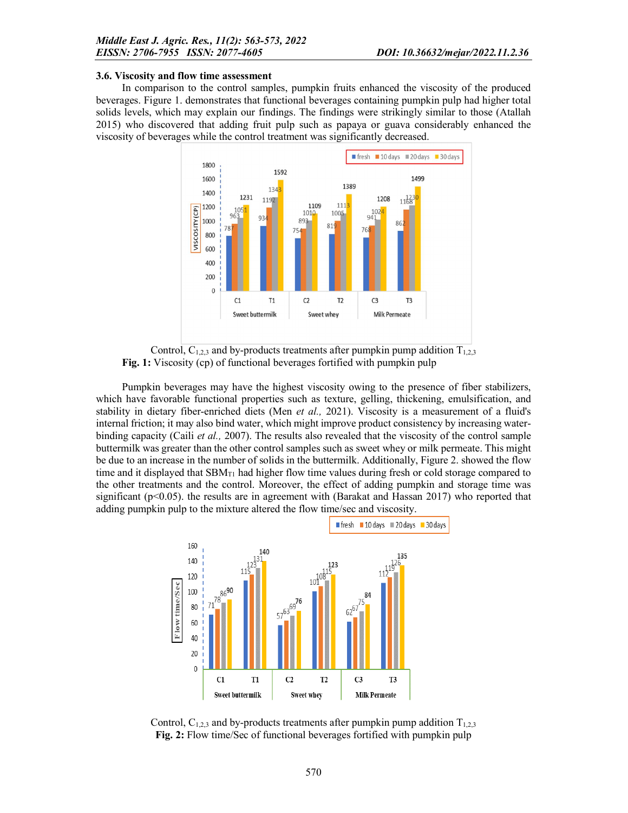#### 3.6. Viscosity and flow time assessment

In comparison to the control samples, pumpkin fruits enhanced the viscosity of the produced beverages. Figure 1. demonstrates that functional beverages containing pumpkin pulp had higher total solids levels, which may explain our findings. The findings were strikingly similar to those (Atallah 2015) who discovered that adding fruit pulp such as papaya or guava considerably enhanced the viscosity of beverages while the control treatment was significantly decreased.



Control,  $C_{1,2,3}$  and by-products treatments after pumpkin pump addition  $T_{1,2,3}$ Fig. 1: Viscosity (cp) of functional beverages fortified with pumpkin pulp

Pumpkin beverages may have the highest viscosity owing to the presence of fiber stabilizers, which have favorable functional properties such as texture, gelling, thickening, emulsification, and stability in dietary fiber-enriched diets (Men *et al.,* 2021). Viscosity is a measurement of a fluid's internal friction; it may also bind water, which might improve product consistency by increasing waterbinding capacity (Caili *et al.,* 2007). The results also revealed that the viscosity of the control sample buttermilk was greater than the other control samples such as sweet whey or milk permeate. This might be due to an increase in the number of solids in the buttermilk. Additionally, Figure 2. showed the flow time and it displayed that  $SBM_{T1}$  had higher flow time values during fresh or cold storage compared to the other treatments and the control. Moreover, the effect of adding pumpkin and storage time was significant (p<0.05). the results are in agreement with (Barakat and Hassan 2017) who reported that adding pumpkin pulp to the mixture altered the flow time/sec and viscosity.



Control,  $C_{1,2,3}$  and by-products treatments after pumpkin pump addition  $T_{1,2,3}$ Fig. 2: Flow time/Sec of functional beverages fortified with pumpkin pulp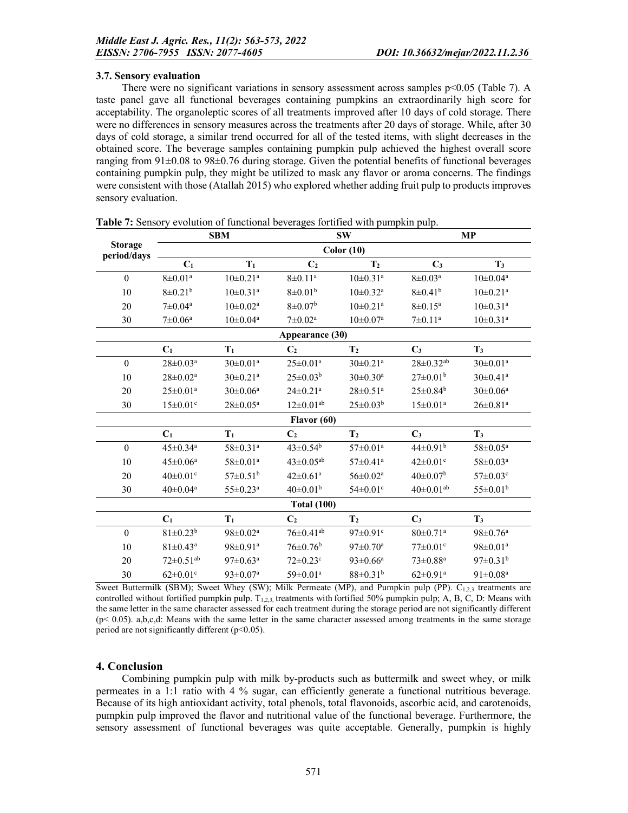#### 3.7. Sensory evaluation

There were no significant variations in sensory assessment across samples  $p<0.05$  (Table 7). A taste panel gave all functional beverages containing pumpkins an extraordinarily high score for acceptability. The organoleptic scores of all treatments improved after 10 days of cold storage. There were no differences in sensory measures across the treatments after 20 days of storage. While, after 30 days of cold storage, a similar trend occurred for all of the tested items, with slight decreases in the obtained score. The beverage samples containing pumpkin pulp achieved the highest overall score ranging from 91±0.08 to 98±0.76 during storage. Given the potential benefits of functional beverages containing pumpkin pulp, they might be utilized to mask any flavor or aroma concerns. The findings were consistent with those (Atallah 2015) who explored whether adding fruit pulp to products improves sensory evaluation.

|                               | <b>SBM</b>                  |                            | SW                          |                            | MP                          |                            |
|-------------------------------|-----------------------------|----------------------------|-----------------------------|----------------------------|-----------------------------|----------------------------|
| <b>Storage</b><br>period/days |                             |                            |                             | Color(10)                  |                             |                            |
|                               | $C_1$                       | $T_1$                      | C <sub>2</sub>              | T <sub>2</sub>             | $C_3$                       | T <sub>3</sub>             |
| $\mathbf{0}$                  | $8 \pm 0.01^a$              | $10 \pm 0.21$ <sup>a</sup> | $8 \pm 0.11^a$              | $10\pm0.31^{\rm a}$        | $8\pm0.03^{\rm a}$          | $10 \pm 0.04^{\rm a}$      |
| 10                            | $8 \pm 0.21^b$              | $10 \pm 0.31$ <sup>a</sup> | $8 \pm 0.01^{\rm b}$        | $10 \pm 0.32$ <sup>a</sup> | $8 \pm 0.41^b$              | $10 \pm 0.21$ <sup>a</sup> |
| 20                            | $7 \pm 0.04^{\text{a}}$     | $10 \pm 0.02^{\mathrm{a}}$ | $8 \pm 0.07^{\rm b}$        | $10 \pm 0.21$ <sup>a</sup> | $8 \pm 0.15^a$              | $10 \pm 0.31$ <sup>a</sup> |
| 30                            | $7 \pm 0.06^{\text{a}}$     | $10 \pm 0.04^{\rm a}$      | $7 \pm 0.02^{\text{a}}$     | $10 \pm 0.07^{\rm a}$      | $7 \pm 0.11^a$              | $10 \pm 0.31$ <sup>a</sup> |
|                               |                             |                            | Appearance (30)             |                            |                             |                            |
|                               | $C_1$                       | $T_1$                      | C <sub>2</sub>              | T <sub>2</sub>             | $C_3$                       | T <sub>3</sub>             |
| $\boldsymbol{0}$              | $28 \pm 0.03^a$             | $30 \pm 0.01^{\text{a}}$   | $25 \pm 0.01^a$             | $30 \pm 0.21$ <sup>a</sup> | $28 \pm 0.32$ <sup>ab</sup> | $30 \pm 0.01$ <sup>a</sup> |
| 10                            | $28 \pm 0.02^a$             | $30 \pm 0.21$ <sup>a</sup> | $25 \pm 0.03^b$             | $30 \pm 0.30^{\rm a}$      | $27 \pm 0.01^b$             | $30 \pm 0.41$ <sup>a</sup> |
| 20                            | $25 \pm 0.01^a$             | $30 \pm 0.06^{\mathrm{a}}$ | $24 \pm 0.21$ <sup>a</sup>  | $28 \pm 0.51$ <sup>a</sup> | $25 \pm 0.84^b$             | $30 \pm 0.06^a$            |
| 30                            | $15 \pm 0.01$ c             | $28 \pm 0.05^{\rm a}$      | $12\pm0.01^{ab}$            | $25 \pm 0.03^b$            | $15 \pm 0.01^a$             | $26 \pm 0.81$ <sup>a</sup> |
|                               |                             |                            | Flavor (60)                 |                            |                             |                            |
|                               | C <sub>1</sub>              | $T_1$                      | C <sub>2</sub>              | $\mathbf{T}_2$             | $C_3$                       | $T_3$                      |
| $\mathbf{0}$                  | $45 \pm 0.34$ <sup>a</sup>  | 58±0.31 <sup>a</sup>       | $43 \pm 0.54^{\rm b}$       | $57 \pm 0.01^{\text{a}}$   | $44 \pm 0.91^{\rm b}$       | $58 \pm 0.05^{\rm a}$      |
| 10                            | $45 \pm 0.06^{\rm a}$       | $58 \pm 0.01^{\text{a}}$   | $43 \pm 0.05^{ab}$          | $57 \pm 0.41^{\rm a}$      | $42 \pm 0.01$ °             | $58 \pm 0.03^{\rm a}$      |
| 20                            | $40 \pm 0.01$ °             | $57 \pm 0.51^{\rm b}$      | $42 \pm 0.61^a$             | $56 \pm 0.02^{\text{a}}$   | $40 \pm 0.07^{\rm b}$       | $57 \pm 0.03$ c            |
| 30                            | $40 \pm 0.04^{\rm a}$       | $55 \pm 0.23^{\rm a}$      | $40 \pm 0.01^b$             | $54 \pm 0.01$ c            | $40 \pm 0.01^{ab}$          | $55 \pm 0.01^{\rm b}$      |
|                               |                             |                            | <b>Total (100)</b>          |                            |                             |                            |
|                               | C <sub>1</sub>              | $T_1$                      | C <sub>2</sub>              | T <sub>2</sub>             | $C_3$                       | T <sub>3</sub>             |
| $\mathbf{0}$                  | $81 \pm 0.23^b$             | $98 \pm 0.02^{\text{a}}$   | $76 \pm 0.41$ <sup>ab</sup> | $97 \pm 0.91$ <sup>c</sup> | $80 \pm 0.71$ <sup>a</sup>  | $98 \pm 0.76^{\rm a}$      |
| 10                            | $81 \pm 0.43$ <sup>a</sup>  | $98 \pm 0.91$ <sup>a</sup> | $76 \pm 0.76$ <sup>b</sup>  | $97 \pm 0.70^{\mathrm{a}}$ | $77 \pm 0.01$ <sup>c</sup>  | $98 \pm 0.01^a$            |
| 20                            | $72 \pm 0.51$ <sup>ab</sup> | $97 \pm 0.63^{\mathrm{a}}$ | $72 \pm 0.23$ °             | $93 \pm 0.66^a$            | $73 \pm 0.88^{\rm a}$       | $97 \pm 0.31^b$            |
| 30                            | $62 \pm 0.01$ c             | $93 \pm 0.07$ <sup>a</sup> | $59 \pm 0.01^{\text{a}}$    | $88 \pm 0.31^b$            | $62 \pm 0.91$ <sup>a</sup>  | $91 \pm 0.08^{\text{a}}$   |

Table 7: Sensory evolution of functional beverages fortified with pumpkin pulp.

Sweet Buttermilk (SBM); Sweet Whey (SW); Milk Permeate (MP), and Pumpkin pulp (PP).  $C_{1,2,3}$  treatments are controlled without fortified pumpkin pulp. T<sub>1,2,3</sub>, treatments with fortified 50% pumpkin pulp; A, B, C, D: Means with the same letter in the same character assessed for each treatment during the storage period are not significantly different  $(p< 0.05)$ . a,b,c,d: Means with the same letter in the same character assessed among treatments in the same storage period are not significantly different  $(p<0.05)$ .

### 4. Conclusion

Combining pumpkin pulp with milk by-products such as buttermilk and sweet whey, or milk permeates in a 1:1 ratio with 4 % sugar, can efficiently generate a functional nutritious beverage. Because of its high antioxidant activity, total phenols, total flavonoids, ascorbic acid, and carotenoids, pumpkin pulp improved the flavor and nutritional value of the functional beverage. Furthermore, the sensory assessment of functional beverages was quite acceptable. Generally, pumpkin is highly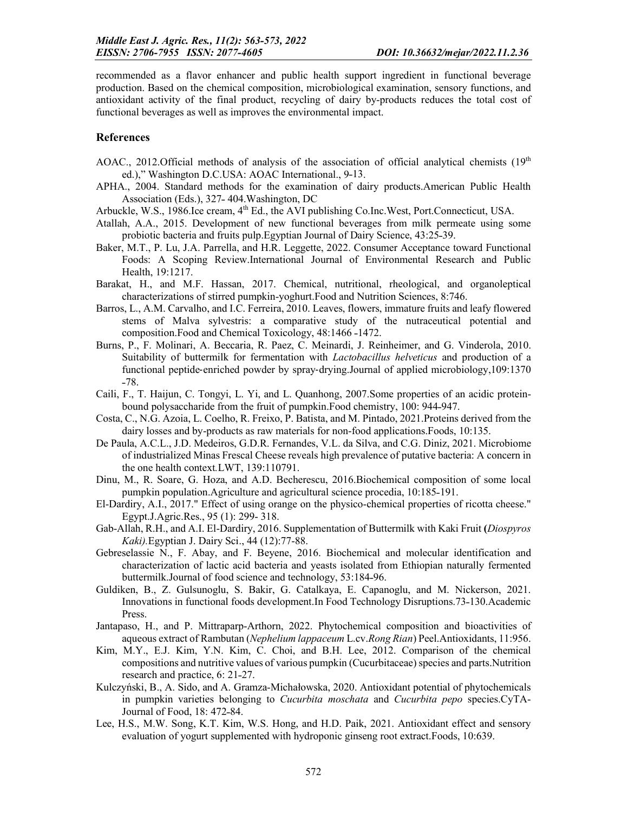recommended as a flavor enhancer and public health support ingredient in functional beverage production. Based on the chemical composition, microbiological examination, sensory functions, and antioxidant activity of the final product, recycling of dairy by-products reduces the total cost of functional beverages as well as improves the environmental impact.

#### References

- AOAC., 2012.Official methods of analysis of the association of official analytical chemists  $(19<sup>th</sup>$ ed.)," Washington D.C.USA: AOAC International., 9-13.
- APHA., 2004. Standard methods for the examination of dairy products.American Public Health Association (Eds.), 327-404. Washington, DC
- Arbuckle, W.S., 1986.Ice cream,  $4<sup>th</sup>$  Ed., the AVI publishing Co.Inc.West, Port.Connecticut, USA.
- Atallah, A.A., 2015. Development of new functional beverages from milk permeate using some probiotic bacteria and fruits pulp. Egyptian Journal of Dairy Science, 43:25-39.
- Baker, M.T., P. Lu, J.A. Parrella, and H.R. Leggette, 2022. Consumer Acceptance toward Functional Foods: A Scoping Review.International Journal of Environmental Research and Public Health, 19:1217.
- Barakat, H., and M.F. Hassan, 2017. Chemical, nutritional, rheological, and organoleptical characterizations of stirred pumpkin-yoghurt.Food and Nutrition Sciences, 8:746.
- Barros, L., A.M. Carvalho, and I.C. Ferreira, 2010. Leaves, flowers, immature fruits and leafy flowered stems of Malva sylvestris: a comparative study of the nutraceutical potential and composition.Food and Chemical Toxicology, 48:1466-1472.
- Burns, P., F. Molinari, A. Beccaria, R. Paez, C. Meinardi, J. Reinheimer, and G. Vinderola, 2010. Suitability of buttermilk for fermentation with *Lactobacillus helveticus* and production of a functional peptide‐enriched powder by spray‐drying.Journal of applied microbiology,109:1370  $-78.$
- Caili, F., T. Haijun, C. Tongyi, L. Yi, and L. Quanhong, 2007.Some properties of an acidic proteinbound polysaccharide from the fruit of pumpkin. Food chemistry, 100: 944-947.
- Costa, C., N.G. Azoia, L. Coelho, R. Freixo, P. Batista, and M. Pintado, 2021.Proteins derived from the dairy losses and by-products as raw materials for non-food applications.Foods, 10:135.
- De Paula, A.C.L., J.D. Medeiros, G.D.R. Fernandes, V.L. da Silva, and C.G. Diniz, 2021. Microbiome of industrialized Minas Frescal Cheese reveals high prevalence of putative bacteria: A concern in the one health context*.*LWT, 139:110791.
- Dinu, M., R. Soare, G. Hoza, and A.D. Becherescu, 2016.Biochemical composition of some local pumpkin population.Agriculture and agricultural science procedia, 10:185-191.
- El-Dardiry, A.I., 2017." Effect of using orange on the physico-chemical properties of ricotta cheese." Egypt.J.Agric.Res., 95 (1): 299- 318.
- Gab-Allah, R.H., and A.I. El-Dardiry, 2016. Supplementation of Buttermilk with Kaki Fruit (*Diospyros Kaki).*Egyptian J. Dairy Sci., 44 (12):77-88.
- Gebreselassie N., F. Abay, and F. Beyene, 2016. Biochemical and molecular identification and characterization of lactic acid bacteria and yeasts isolated from Ethiopian naturally fermented buttermilk. Journal of food science and technology, 53:184-96.
- Guldiken, B., Z. Gulsunoglu, S. Bakir, G. Catalkaya, E. Capanoglu, and M. Nickerson, 2021. Innovations in functional foods development. In Food Technology Disruptions. 73-130. Academic Press.
- Jantapaso, H., and P. Mittraparp-Arthorn, 2022. Phytochemical composition and bioactivities of aqueous extract of Rambutan (*Nephelium lappaceum* L.cv.*Rong Rian*) Peel.Antioxidants, 11:956.
- Kim, M.Y., E.J. Kim, Y.N. Kim, C. Choi, and B.H. Lee, 2012. Comparison of the chemical compositions and nutritive values of various pumpkin (Cucurbitaceae) species and parts.Nutrition research and practice, 6: 21-27.
- Kulczyński, B., A. Sido, and A. Gramza-Michałowska, 2020. Antioxidant potential of phytochemicals in pumpkin varieties belonging to *Cucurbita moschata* and *Cucurbita pepo* species.CyTA-Journal of Food, 18: 472-84.
- Lee, H.S., M.W. Song, K.T. Kim, W.S. Hong, and H.D. Paik, 2021. Antioxidant effect and sensory evaluation of yogurt supplemented with hydroponic ginseng root extract.Foods, 10:639.